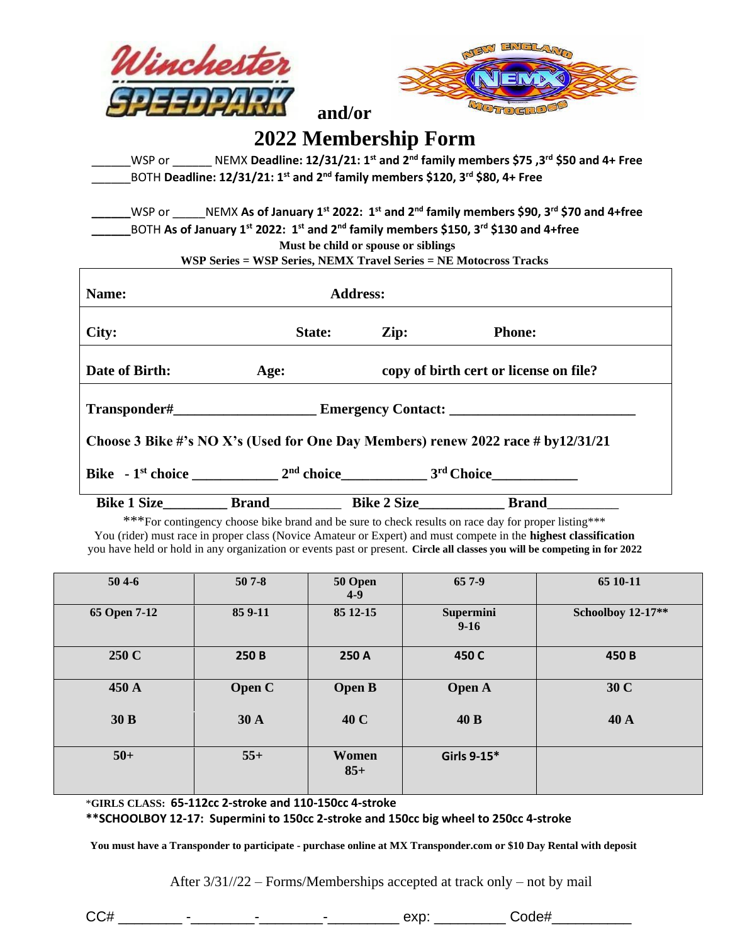



## **2022 Membership Form**

 **and/or** 

\_\_\_\_\_\_WSP or \_\_\_\_\_\_ NEMX **Deadline: 12/31/21: 1st and 2nd family members \$75 ,3rd \$50 and 4+ Free** \_\_\_\_\_\_BOTH **Deadline: 12/31/21: 1st and 2nd family members \$120, 3rd \$80, 4+ Free** 

**\_\_\_\_\_\_**WSP or \_\_\_\_\_NEMX **As of January 1st 2022: 1st and 2nd family members \$90, 3rd \$70 and 4+free \_\_\_\_\_\_**BOTH **As of January 1st 2022: 1 st and 2nd family members \$150, 3rd \$130 and 4+free Must be child or spouse or siblings**

**WSP Series = WSP Series, NEMX Travel Series = NE Motocross Tracks** 

| Name:                                                                            |              | <b>Address:</b>    |                                                                   |  |  |  |  |
|----------------------------------------------------------------------------------|--------------|--------------------|-------------------------------------------------------------------|--|--|--|--|
| City:                                                                            | State:       | $\mathbf{Zip:}$    | <b>Phone:</b>                                                     |  |  |  |  |
| Date of Birth:                                                                   | Age:         |                    | copy of birth cert or license on file?                            |  |  |  |  |
| <b>Emergency Contact:</b>                                                        |              |                    |                                                                   |  |  |  |  |
| Choose 3 Bike #'s NO X's (Used for One Day Members) renew 2022 race # by12/31/21 |              |                    |                                                                   |  |  |  |  |
|                                                                                  |              |                    | $Bike - 1st choice$ 2 <sup>nd</sup> choice 3 <sup>rd</sup> Choice |  |  |  |  |
| <b>Bike 1 Size</b>                                                               | <b>Brand</b> | <b>Bike 2 Size</b> | <b>Brand</b>                                                      |  |  |  |  |

\*\*\*For contingency choose bike brand and be sure to check results on race day for proper listing\*\*\* You (rider) must race in proper class (Novice Amateur or Expert) and must compete in the **highest classification** you have held or hold in any organization or events past or present. **Circle all classes you will be competing in for 2022**

| $504-6$      | $507 - 8$     | 50 Open<br>$4-9$ | 65 7-9                | 65 10-11          |
|--------------|---------------|------------------|-----------------------|-------------------|
| 65 Open 7-12 | 85 9-11       | 85 12-15         | Supermini<br>$9 - 16$ | Schoolboy 12-17** |
| 250 C        | 250 B         | 250 A            | 450 C                 | 450 B             |
| 450 A        | <b>Open C</b> | <b>Open B</b>    | <b>Open A</b>         | 30 C              |
| 30 B         | 30 A          | 40 C             | 40 B                  | 40 A              |
| $50+$        | $55+$         | Women<br>$85+$   | Girls 9-15*           |                   |

\***GIRLS CLASS: 65-112cc 2-stroke and 110-150cc 4-stroke**

**\*\*SCHOOLBOY 12-17: Supermini to 150cc 2-stroke and 150cc big wheel to 250cc 4-stroke**

**You must have a Transponder to participate - purchase online at MX Transponder.com or \$10 Day Rental with deposit**

After 3/31//22 – Forms/Memberships accepted at track only – not by mail

CC# \_\_\_\_\_\_\_\_ -\_\_\_\_\_\_\_\_-\_\_\_\_\_\_\_\_-\_\_\_\_\_\_\_\_\_ exp: \_\_\_\_\_\_\_\_\_ Code#\_\_\_\_\_\_\_\_\_\_